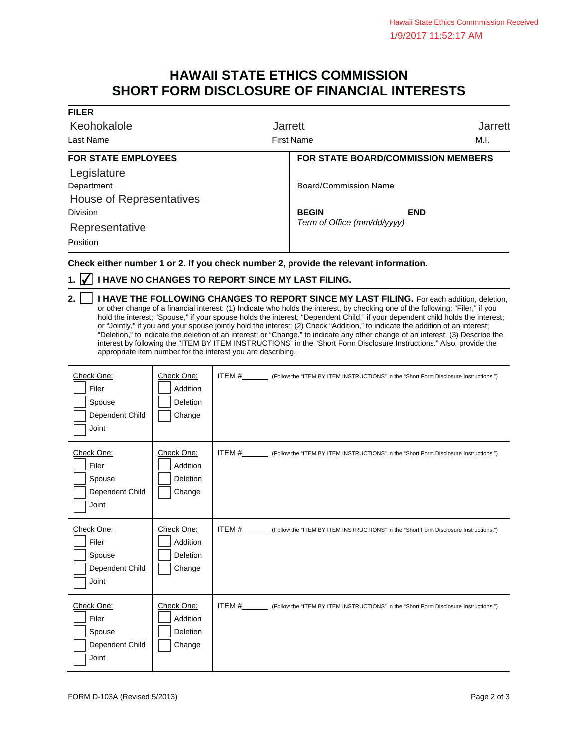## **HAWAII STATE ETHICS COMMISSION SHORT FORM DISCLOSURE OF FINANCIAL INTERESTS**

| <b>FILER</b>               |                                           |                             |  |  |
|----------------------------|-------------------------------------------|-----------------------------|--|--|
| Keohokalole                | <b>Jarrett</b>                            | <b>Jarrett</b>              |  |  |
| Last Name                  | <b>First Name</b>                         | M.I.                        |  |  |
| <b>FOR STATE EMPLOYEES</b> | <b>FOR STATE BOARD/COMMISSION MEMBERS</b> |                             |  |  |
| Legislature                |                                           |                             |  |  |
| Department                 | Board/Commission Name                     |                             |  |  |
| House of Representatives   |                                           |                             |  |  |
| <b>Division</b>            | <b>BEGIN</b><br><b>END</b>                |                             |  |  |
| Representative             |                                           | Term of Office (mm/dd/yyyy) |  |  |
| Position                   |                                           |                             |  |  |

**Check either number 1 or 2. If you check number 2, provide the relevant information.**

## **1. ⊘ I HAVE NO CHANGES TO REPORT SINCE MY LAST FILING.**

**2.** | | I HAVE THE FOLLOWING CHANGES TO REPORT SINCE MY LAST FILING. For each addition, deletion, or other change of a financial interest: (1) Indicate who holds the interest, by checking one of the following: "Filer," if you hold the interest; "Spouse," if your spouse holds the interest; "Dependent Child," if your dependent child holds the interest; or "Jointly," if you and your spouse jointly hold the interest; (2) Check "Addition," to indicate the addition of an interest; "Deletion," to indicate the deletion of an interest; or "Change," to indicate any other change of an interest; (3) Describe the interest by following the "ITEM BY ITEM INSTRUCTIONS" in the "Short Form Disclosure Instructions." Also, provide the appropriate item number for the interest you are describing.

| Check One:<br>Filer<br>Spouse<br>Dependent Child<br>Joint | Check One:<br>Addition<br>Deletion<br>Change | ITEM #__________ (Follow the "ITEM BY ITEM INSTRUCTIONS" in the "Short Form Disclosure Instructions.") |
|-----------------------------------------------------------|----------------------------------------------|--------------------------------------------------------------------------------------------------------|
| Check One:<br>Filer<br>Spouse<br>Dependent Child<br>Joint | Check One:<br>Addition<br>Deletion<br>Change | ITEM #__________ (Follow the "ITEM BY ITEM INSTRUCTIONS" in the "Short Form Disclosure Instructions.") |
| Check One:<br>Filer<br>Spouse<br>Dependent Child<br>Joint | Check One:<br>Addition<br>Deletion<br>Change | ITEM #__________ (Follow the "ITEM BY ITEM INSTRUCTIONS" in the "Short Form Disclosure Instructions.") |
| Check One:<br>Filer<br>Spouse<br>Dependent Child<br>Joint | Check One:<br>Addition<br>Deletion<br>Change | ITEM # (Follow the "ITEM BY ITEM INSTRUCTIONS" in the "Short Form Disclosure Instructions.")           |